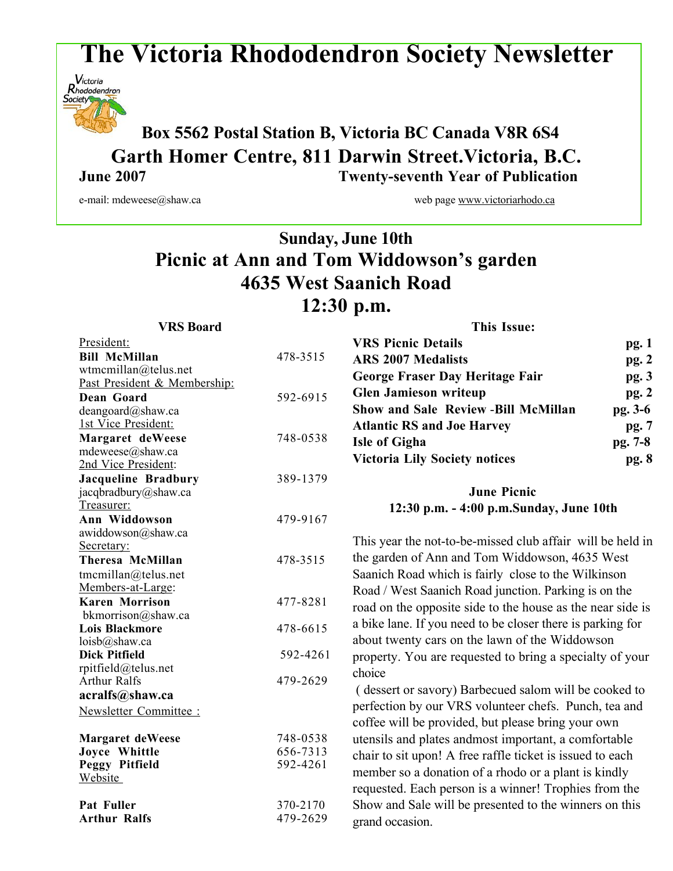# **The Victoria Rhododendron Society Newsletter**



 **Box <sup>5562</sup> Postal Station B, Victoria BC Canada V8R 6S4 Garth Homer Centre, 811 Darwin Street.Victoria, B.C. June 2007 Twenty-seventh Year of Publication**

e-mail: mdeweese@shaw.ca web page www.victoriarhodo.ca

## **Sunday, June 10th Picnic at Ann and Tom Widdowson's garden 4635 West Saanich Road 12:30 p.m.**

| <b>VRS</b> Board                            |                      | <b>This Issue:</b>                                                                                         |         |
|---------------------------------------------|----------------------|------------------------------------------------------------------------------------------------------------|---------|
| President:                                  |                      | <b>VRS Picnic Details</b>                                                                                  | pg. 1   |
| <b>Bill McMillan</b>                        | 478-3515             | <b>ARS 2007 Medalists</b>                                                                                  | pg.2    |
| wtmcmillan@telus.net                        |                      | <b>George Fraser Day Heritage Fair</b>                                                                     | pg. 3   |
| Past President & Membership:                |                      |                                                                                                            |         |
| Dean Goard                                  | 592-6915             | <b>Glen Jamieson writeup</b>                                                                               | pg.2    |
| deangoard@shaw.ca                           |                      | <b>Show and Sale Review -Bill McMillan</b>                                                                 | pg. 3-6 |
| 1st Vice President:                         |                      | <b>Atlantic RS and Joe Harvey</b>                                                                          | pg. 7   |
| Margaret deWeese                            | 748-0538             | <b>Isle of Gigha</b>                                                                                       | pg. 7-8 |
| mdeweese@shaw.ca                            |                      | <b>Victoria Lily Society notices</b>                                                                       | pg. 8   |
| 2nd Vice President:                         |                      |                                                                                                            |         |
| <b>Jacqueline Bradbury</b>                  | 389-1379             |                                                                                                            |         |
| jacqbradbury@shaw.ca                        |                      | <b>June Picnic</b>                                                                                         |         |
| Treasurer:                                  |                      | 12:30 p.m. - 4:00 p.m.Sunday, June 10th                                                                    |         |
| Ann Widdowson                               | 479-9167             |                                                                                                            |         |
| awiddowson@shaw.ca                          |                      | This year the not-to-be-missed club affair will be held in                                                 |         |
| Secretary:                                  |                      | the garden of Ann and Tom Widdowson, 4635 West<br>Saanich Road which is fairly close to the Wilkinson      |         |
| <b>Theresa McMillan</b>                     | 478-3515             |                                                                                                            |         |
| tmcmillan@telus.net                         |                      |                                                                                                            |         |
| Members-at-Large:                           |                      | Road / West Saanich Road junction. Parking is on the                                                       |         |
| <b>Karen Morrison</b>                       | 477-8281             | road on the opposite side to the house as the near side is                                                 |         |
| bkmorrison@shaw.ca<br><b>Lois Blackmore</b> | 478-6615             | a bike lane. If you need to be closer there is parking for                                                 |         |
| loisb@shaw.ca                               |                      | about twenty cars on the lawn of the Widdowson<br>property. You are requested to bring a specialty of your |         |
| <b>Dick Pitfield</b>                        | 592-4261             |                                                                                                            |         |
| rpitfield@telus.net                         |                      |                                                                                                            |         |
| <b>Arthur Ralfs</b>                         | 479-2629             | choice                                                                                                     |         |
| acralfs@shaw.ca                             |                      | (dessert or savory) Barbecued salom will be cooked to                                                      |         |
| Newsletter Committee:                       |                      | perfection by our VRS volunteer chefs. Punch, tea and                                                      |         |
|                                             |                      | coffee will be provided, but please bring your own                                                         |         |
| <b>Margaret deWeese</b>                     | 748-0538             | utensils and plates and most important, a comfortable                                                      |         |
| Joyce Whittle                               | 656-7313<br>592-4261 | chair to sit upon! A free raffle ticket is issued to each                                                  |         |
| Peggy Pitfield                              |                      |                                                                                                            |         |
| Website                                     |                      | member so a donation of a rhodo or a plant is kindly                                                       |         |
|                                             |                      | requested. Each person is a winner! Trophies from the                                                      |         |
| Pat Fuller<br><b>Arthur Ralfs</b>           | 370-2170<br>479-2629 | Show and Sale will be presented to the winners on this                                                     |         |
|                                             |                      | grand occasion.                                                                                            |         |
|                                             |                      |                                                                                                            |         |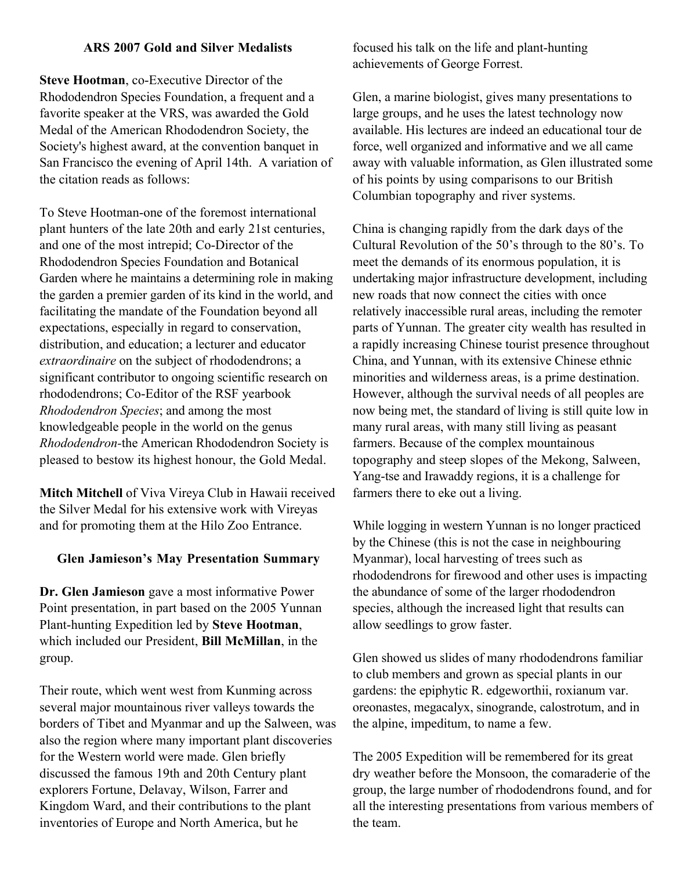### **ARS 2007 Gold and Silver Medalists**

**Steve Hootman**, co-Executive Director of the Rhododendron Species Foundation, a frequent and a favorite speaker at the VRS, was awarded the Gold Medal of the American Rhododendron Society, the Society's highest award, at the convention banquet in San Francisco the evening of April 14th. A variation of the citation reads as follows:

To Steve Hootman-one of the foremost international plant hunters of the late 20th and early 21st centuries, and one of the most intrepid; Co-Director of the Rhododendron Species Foundation and Botanical Garden where he maintains a determining role in making the garden a premier garden of its kind in the world, and facilitating the mandate of the Foundation beyond all expectations, especially in regard to conservation, distribution, and education; a lecturer and educator *extraordinaire* on the subject of rhododendrons; a significant contributor to ongoing scientific research on rhododendrons; Co-Editor of the RSF yearbook *Rhododendron Species*; and among the most knowledgeable people in the world on the genus *Rhododendron-*the American Rhododendron Society is pleased to bestow its highest honour, the Gold Medal.

**Mitch Mitchell** of Viva Vireya Club in Hawaii received the Silver Medal for his extensive work with Vireyas and for promoting them at the Hilo Zoo Entrance.

### **Glen Jamieson's May Presentation Summary**

**Dr. Glen Jamieson** gave a most informative Power Point presentation, in part based on the 2005 Yunnan Plant-hunting Expedition led by **Steve Hootman**, which included our President, **Bill McMillan**, in the group.

Their route, which went west from Kunming across several major mountainous river valleys towards the borders of Tibet and Myanmar and up the Salween, was also the region where many important plant discoveries for the Western world were made. Glen briefly discussed the famous 19th and 20th Century plant explorers Fortune, Delavay, Wilson, Farrer and Kingdom Ward, and their contributions to the plant inventories of Europe and North America, but he

focused his talk on the life and plant-hunting achievements of George Forrest.

Glen, a marine biologist, gives many presentations to large groups, and he uses the latest technology now available. His lectures are indeed an educational tour de force, well organized and informative and we all came away with valuable information, as Glen illustrated some of his points by using comparisons to our British Columbian topography and river systems.

China is changing rapidly from the dark days of the Cultural Revolution of the 50's through to the 80's. To meet the demands of its enormous population, it is undertaking major infrastructure development, including new roads that now connect the cities with once relatively inaccessible rural areas, including the remoter parts of Yunnan. The greater city wealth has resulted in a rapidly increasing Chinese tourist presence throughout China, and Yunnan, with its extensive Chinese ethnic minorities and wilderness areas, is a prime destination. However, although the survival needs of all peoples are now being met, the standard of living is still quite low in many rural areas, with many still living as peasant farmers. Because of the complex mountainous topography and steep slopes of the Mekong, Salween, Yang-tse and Irawaddy regions, it is a challenge for farmers there to eke out a living.

While logging in western Yunnan is no longer practiced by the Chinese (this is not the case in neighbouring Myanmar), local harvesting of trees such as rhododendrons for firewood and other uses is impacting the abundance of some of the larger rhododendron species, although the increased light that results can allow seedlings to grow faster.

Glen showed us slides of many rhododendrons familiar to club members and grown as special plants in our gardens: the epiphytic R. edgeworthii, roxianum var. oreonastes, megacalyx, sinogrande, calostrotum, and in the alpine, impeditum, to name a few.

The 2005 Expedition will be remembered for its great dry weather before the Monsoon, the comaraderie of the group, the large number of rhododendrons found, and for all the interesting presentations from various members of the team.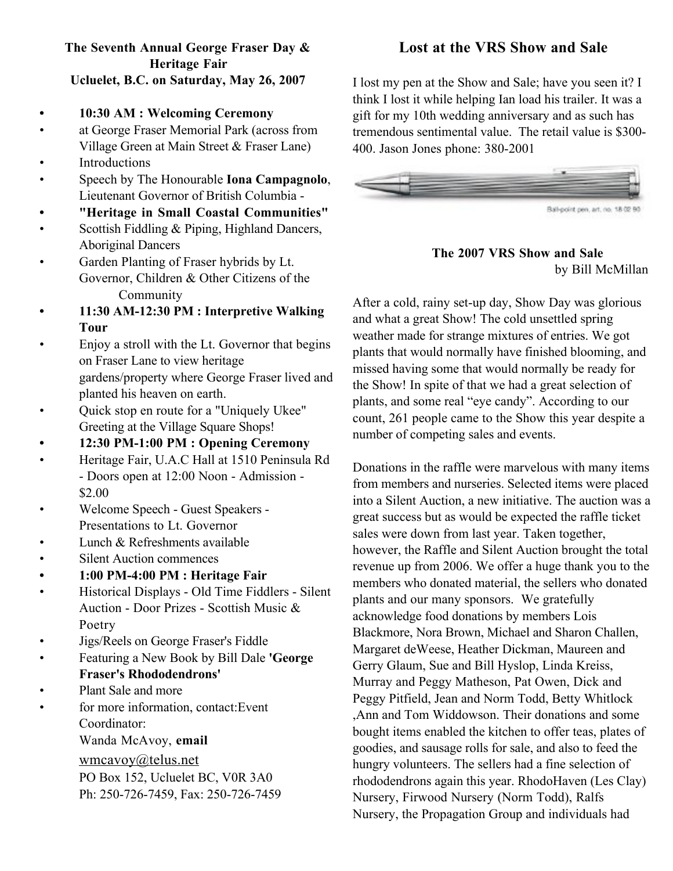### **The Seventh Annual George Fraser Day & Heritage Fair Ucluelet, B.C. on Saturday, May 26, 2007**

- **• 10:30 AM : Welcoming Ceremony**
- at George Fraser Memorial Park (across from Village Green at Main Street & Fraser Lane)
- Introductions
- Speech by The Honourable **Iona Campagnolo**, Lieutenant Governor of British Columbia -
- **• "Heritage in Small Coastal Communities"**
- Scottish Fiddling & Piping, Highland Dancers, Aboriginal Dancers
- Garden Planting of Fraser hybrids by Lt. Governor, Children & Other Citizens of the Community
- **• 11:30 AM-12:30 PM : Interpretive Walking Tour**
- Enjoy a stroll with the Lt. Governor that begins on Fraser Lane to view heritage gardens/property where George Fraser lived and planted his heaven on earth.
- Quick stop en route for a "Uniquely Ukee" Greeting at the Village Square Shops!
- **• 12:30 PM-1:00 PM : Opening Ceremony**
- Heritage Fair, U.A.C Hall at 1510 Peninsula Rd - Doors open at 12:00 Noon - Admission - \$2.00
- Welcome Speech Guest Speakers Presentations to Lt. Governor
- Lunch & Refreshments available
- Silent Auction commences
- **• 1:00 PM-4:00 PM : Heritage Fair**
- Historical Displays Old Time Fiddlers Silent Auction - Door Prizes - Scottish Music & Poetry
- Jigs/Reels on George Fraser's Fiddle
- Featuring a New Book by Bill Dale **'George Fraser's Rhododendrons'**
- Plant Sale and more
- for more information, contact: Event Coordinator:

### Wanda McAvoy, **email**

wmcavoy@telus.net

PO Box 152, Ucluelet BC, V0R 3A0 Ph: 250-726-7459, Fax: 250-726-7459

### **Lost at the VRS Show and Sale**

I lost my pen at the Show and Sale; have you seen it? I think I lost it while helping Ian load his trailer. It was a gift for my 10th wedding anniversary and as such has tremendous sentimental value. The retail value is \$300- 400. Jason Jones phone: 380-2001



### **The 2007 VRS Show and Sale** by Bill McMillan

After a cold, rainy set-up day, Show Day was glorious and what a great Show! The cold unsettled spring weather made for strange mixtures of entries. We got plants that would normally have finished blooming, and missed having some that would normally be ready for the Show! In spite of that we had a great selection of plants, and some real "eye candy". According to our count, 261 people came to the Show this year despite a number of competing sales and events.

Donations in the raffle were marvelous with many items from members and nurseries. Selected items were placed into a Silent Auction, a new initiative. The auction was a great success but as would be expected the raffle ticket sales were down from last year. Taken together, however, the Raffle and Silent Auction brought the total revenue up from 2006. We offer a huge thank you to the members who donated material, the sellers who donated plants and our many sponsors. We gratefully acknowledge food donations by members Lois Blackmore, Nora Brown, Michael and Sharon Challen, Margaret deWeese, Heather Dickman, Maureen and Gerry Glaum, Sue and Bill Hyslop, Linda Kreiss, Murray and Peggy Matheson, Pat Owen, Dick and Peggy Pitfield, Jean and Norm Todd, Betty Whitlock ,Ann and Tom Widdowson. Their donations and some bought items enabled the kitchen to offer teas, plates of goodies, and sausage rolls for sale, and also to feed the hungry volunteers. The sellers had a fine selection of rhododendrons again this year. RhodoHaven (Les Clay) Nursery, Firwood Nursery (Norm Todd), Ralfs Nursery, the Propagation Group and individuals had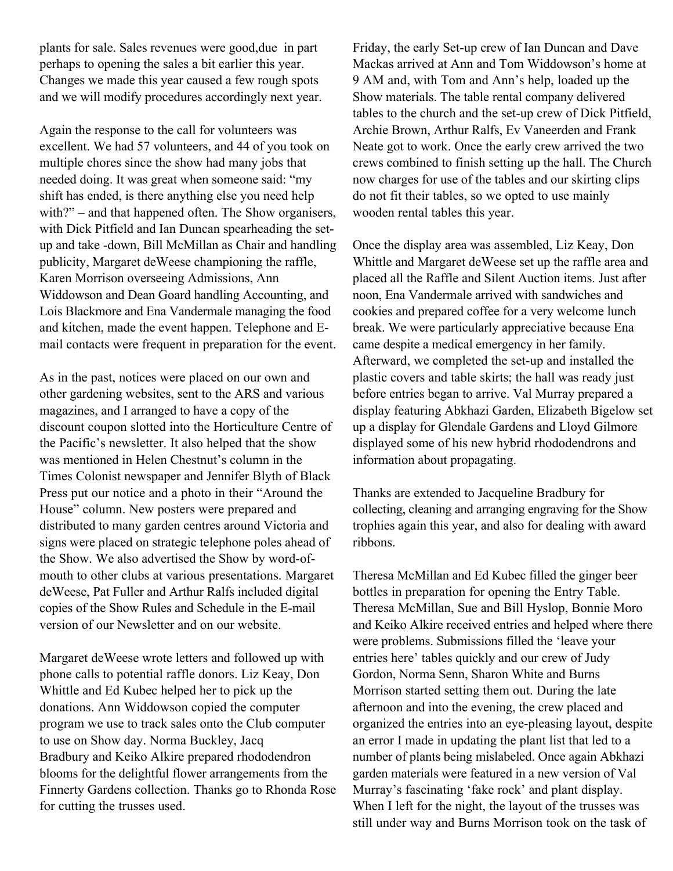plants for sale. Sales revenues were good,due in part perhaps to opening the sales a bit earlier this year. Changes we made this year caused a few rough spots and we will modify procedures accordingly next year.

Again the response to the call for volunteers was excellent. We had 57 volunteers, and 44 of you took on multiple chores since the show had many jobs that needed doing. It was great when someone said: "my shift has ended, is there anything else you need help with?" – and that happened often. The Show organisers, with Dick Pitfield and Ian Duncan spearheading the setup and take -down, Bill McMillan as Chair and handling publicity, Margaret deWeese championing the raffle, Karen Morrison overseeing Admissions, Ann Widdowson and Dean Goard handling Accounting, and Lois Blackmore and Ena Vandermale managing the food and kitchen, made the event happen. Telephone and Email contacts were frequent in preparation for the event.

As in the past, notices were placed on our own and other gardening websites, sent to the ARS and various magazines, and I arranged to have a copy of the discount coupon slotted into the Horticulture Centre of the Pacific's newsletter. It also helped that the show was mentioned in Helen Chestnut's column in the Times Colonist newspaper and Jennifer Blyth of Black Press put our notice and a photo in their "Around the House" column. New posters were prepared and distributed to many garden centres around Victoria and signs were placed on strategic telephone poles ahead of the Show. We also advertised the Show by word-ofmouth to other clubs at various presentations. Margaret deWeese, Pat Fuller and Arthur Ralfs included digital copies of the Show Rules and Schedule in the E-mail version of our Newsletter and on our website.

Margaret deWeese wrote letters and followed up with phone calls to potential raffle donors. Liz Keay, Don Whittle and Ed Kubec helped her to pick up the donations. Ann Widdowson copied the computer program we use to track sales onto the Club computer to use on Show day. Norma Buckley, Jacq Bradbury and Keiko Alkire prepared rhododendron blooms for the delightful flower arrangements from the Finnerty Gardens collection. Thanks go to Rhonda Rose for cutting the trusses used.

Friday, the early Set-up crew of Ian Duncan and Dave Mackas arrived at Ann and Tom Widdowson's home at 9 AM and, with Tom and Ann's help, loaded up the Show materials. The table rental company delivered tables to the church and the set-up crew of Dick Pitfield, Archie Brown, Arthur Ralfs, Ev Vaneerden and Frank Neate got to work. Once the early crew arrived the two crews combined to finish setting up the hall. The Church now charges for use of the tables and our skirting clips do not fit their tables, so we opted to use mainly wooden rental tables this year.

Once the display area was assembled, Liz Keay, Don Whittle and Margaret deWeese set up the raffle area and placed all the Raffle and Silent Auction items. Just after noon, Ena Vandermale arrived with sandwiches and cookies and prepared coffee for a very welcome lunch break. We were particularly appreciative because Ena came despite a medical emergency in her family. Afterward, we completed the set-up and installed the plastic covers and table skirts; the hall was ready just before entries began to arrive. Val Murray prepared a display featuring Abkhazi Garden, Elizabeth Bigelow set up a display for Glendale Gardens and Lloyd Gilmore displayed some of his new hybrid rhododendrons and information about propagating.

Thanks are extended to Jacqueline Bradbury for collecting, cleaning and arranging engraving for the Show trophies again this year, and also for dealing with award ribbons.

Theresa McMillan and Ed Kubec filled the ginger beer bottles in preparation for opening the Entry Table. Theresa McMillan, Sue and Bill Hyslop, Bonnie Moro and Keiko Alkire received entries and helped where there were problems. Submissions filled the 'leave your entries here' tables quickly and our crew of Judy Gordon, Norma Senn, Sharon White and Burns Morrison started setting them out. During the late afternoon and into the evening, the crew placed and organized the entries into an eye-pleasing layout, despite an error I made in updating the plant list that led to a number of plants being mislabeled. Once again Abkhazi garden materials were featured in a new version of Val Murray's fascinating 'fake rock' and plant display. When I left for the night, the layout of the trusses was still under way and Burns Morrison took on the task of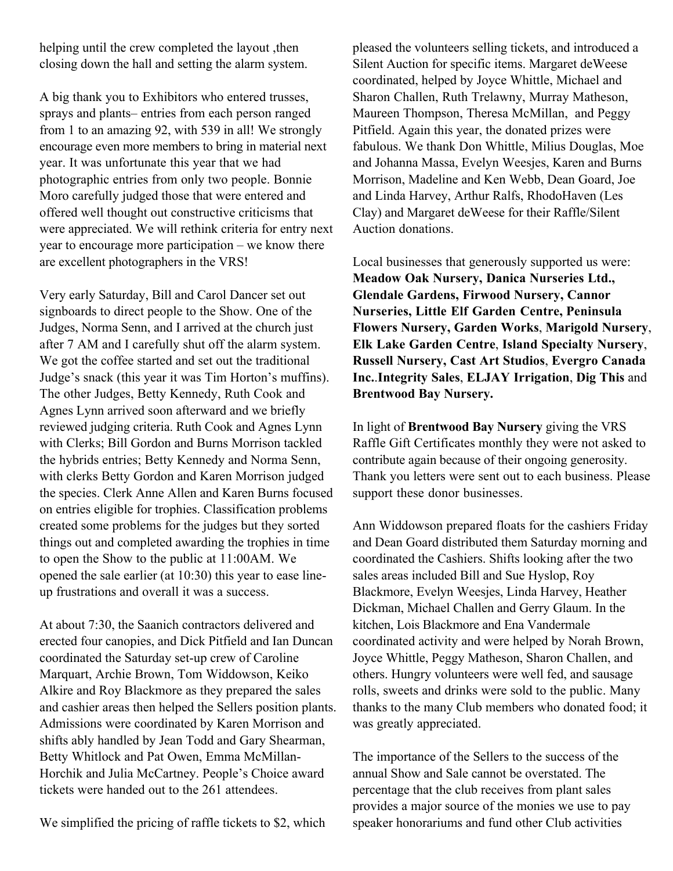helping until the crew completed the layout , then closing down the hall and setting the alarm system.

A big thank you to Exhibitors who entered trusses, sprays and plants– entries from each person ranged from 1 to an amazing 92, with 539 in all! We strongly encourage even more members to bring in material next year. It was unfortunate this year that we had photographic entries from only two people. Bonnie Moro carefully judged those that were entered and offered well thought out constructive criticisms that were appreciated. We will rethink criteria for entry next year to encourage more participation – we know there are excellent photographers in the VRS!

Very early Saturday, Bill and Carol Dancer set out signboards to direct people to the Show. One of the Judges, Norma Senn, and I arrived at the church just after 7 AM and I carefully shut off the alarm system. We got the coffee started and set out the traditional Judge's snack (this year it was Tim Horton's muffins). The other Judges, Betty Kennedy, Ruth Cook and Agnes Lynn arrived soon afterward and we briefly reviewed judging criteria. Ruth Cook and Agnes Lynn with Clerks; Bill Gordon and Burns Morrison tackled the hybrids entries; Betty Kennedy and Norma Senn, with clerks Betty Gordon and Karen Morrison judged the species. Clerk Anne Allen and Karen Burns focused on entries eligible for trophies. Classification problems created some problems for the judges but they sorted things out and completed awarding the trophies in time to open the Show to the public at 11:00AM. We opened the sale earlier (at 10:30) this year to ease lineup frustrations and overall it was a success.

At about 7:30, the Saanich contractors delivered and erected four canopies, and Dick Pitfield and Ian Duncan coordinated the Saturday set-up crew of Caroline Marquart, Archie Brown, Tom Widdowson, Keiko Alkire and Roy Blackmore as they prepared the sales and cashier areas then helped the Sellers position plants. Admissions were coordinated by Karen Morrison and shifts ably handled by Jean Todd and Gary Shearman, Betty Whitlock and Pat Owen, Emma McMillan-Horchik and Julia McCartney. People's Choice award tickets were handed out to the 261 attendees.

We simplified the pricing of raffle tickets to \$2, which

pleased the volunteers selling tickets, and introduced a Silent Auction for specific items. Margaret deWeese coordinated, helped by Joyce Whittle, Michael and Sharon Challen, Ruth Trelawny, Murray Matheson, Maureen Thompson, Theresa McMillan, and Peggy Pitfield. Again this year, the donated prizes were fabulous. We thank Don Whittle, Milius Douglas, Moe and Johanna Massa, Evelyn Weesjes, Karen and Burns Morrison, Madeline and Ken Webb, Dean Goard, Joe and Linda Harvey, Arthur Ralfs, RhodoHaven (Les Clay) and Margaret deWeese for their Raffle/Silent Auction donations.

Local businesses that generously supported us were: **Meadow Oak Nursery, Danica Nurseries Ltd., Glendale Gardens, Firwood Nursery, Cannor Nurseries, Little Elf Garden Centre, Peninsula Flowers Nursery, Garden Works**, **Marigold Nursery**, **Elk Lake Garden Centre**, **Island Specialty Nursery**, **Russell Nursery, Cast Art Studios**, **Evergro Canada Inc.**.**Integrity Sales**, **ELJAY Irrigation**, **Dig This** and **Brentwood Bay Nursery.**

In light of **Brentwood Bay Nursery** giving the VRS Raffle Gift Certificates monthly they were not asked to contribute again because of their ongoing generosity. Thank you letters were sent out to each business. Please support these donor businesses.

Ann Widdowson prepared floats for the cashiers Friday and Dean Goard distributed them Saturday morning and coordinated the Cashiers. Shifts looking after the two sales areas included Bill and Sue Hyslop, Roy Blackmore, Evelyn Weesjes, Linda Harvey, Heather Dickman, Michael Challen and Gerry Glaum. In the kitchen, Lois Blackmore and Ena Vandermale coordinated activity and were helped by Norah Brown, Joyce Whittle, Peggy Matheson, Sharon Challen, and others. Hungry volunteers were well fed, and sausage rolls, sweets and drinks were sold to the public. Many thanks to the many Club members who donated food; it was greatly appreciated.

The importance of the Sellers to the success of the annual Show and Sale cannot be overstated. The percentage that the club receives from plant sales provides a major source of the monies we use to pay speaker honorariums and fund other Club activities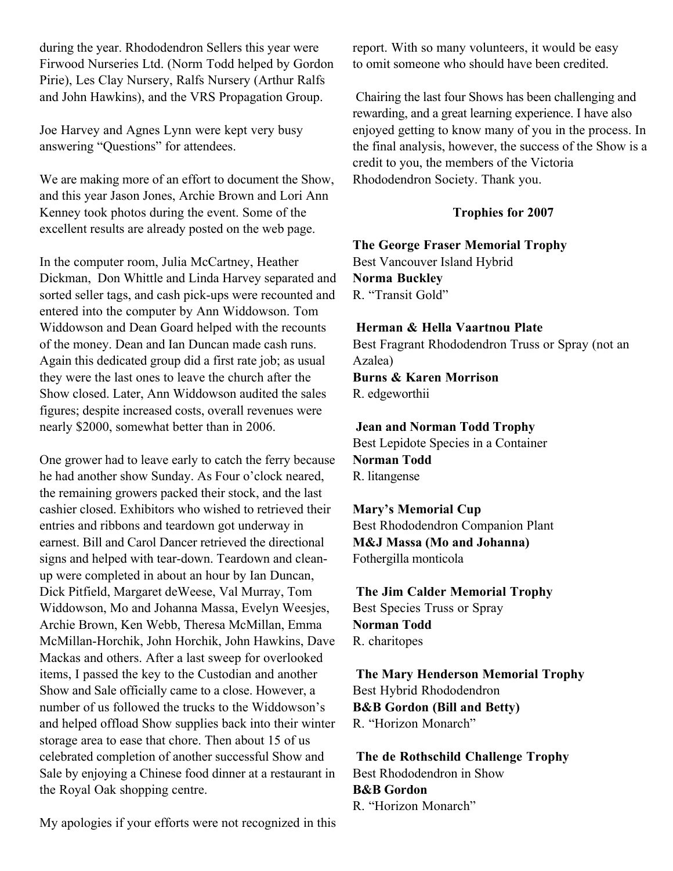during the year. Rhododendron Sellers this year were Firwood Nurseries Ltd. (Norm Todd helped by Gordon Pirie), Les Clay Nursery, Ralfs Nursery (Arthur Ralfs and John Hawkins), and the VRS Propagation Group.

Joe Harvey and Agnes Lynn were kept very busy answering "Questions" for attendees.

We are making more of an effort to document the Show, and this year Jason Jones, Archie Brown and Lori Ann Kenney took photos during the event. Some of the excellent results are already posted on the web page.

In the computer room, Julia McCartney, Heather Dickman, Don Whittle and Linda Harvey separated and sorted seller tags, and cash pick-ups were recounted and entered into the computer by Ann Widdowson. Tom Widdowson and Dean Goard helped with the recounts of the money. Dean and Ian Duncan made cash runs. Again this dedicated group did a first rate job; as usual they were the last ones to leave the church after the Show closed. Later, Ann Widdowson audited the sales figures; despite increased costs, overall revenues were nearly \$2000, somewhat better than in 2006.

One grower had to leave early to catch the ferry because he had another show Sunday. As Four o'clock neared, the remaining growers packed their stock, and the last cashier closed. Exhibitors who wished to retrieved their entries and ribbons and teardown got underway in earnest. Bill and Carol Dancer retrieved the directional signs and helped with tear-down. Teardown and cleanup were completed in about an hour by Ian Duncan, Dick Pitfield, Margaret deWeese, Val Murray, Tom Widdowson, Mo and Johanna Massa, Evelyn Weesjes, Archie Brown, Ken Webb, Theresa McMillan, Emma McMillan-Horchik, John Horchik, John Hawkins, Dave Mackas and others. After a last sweep for overlooked items, I passed the key to the Custodian and another Show and Sale officially came to a close. However, a number of us followed the trucks to the Widdowson's and helped offload Show supplies back into their winter storage area to ease that chore. Then about 15 of us celebrated completion of another successful Show and Sale by enjoying a Chinese food dinner at a restaurant in the Royal Oak shopping centre.

report. With so many volunteers, it would be easy to omit someone who should have been credited.

Chairing the last four Shows has been challenging and rewarding, and a great learning experience. I have also enjoyed getting to know many of you in the process. In the final analysis, however, the success of the Show is a credit to you, the members of the Victoria Rhododendron Society. Thank you.

#### **Trophies for 2007**

**The George Fraser Memorial Trophy** Best Vancouver Island Hybrid **Norma Buckley** R. "Transit Gold"

#### **Herman & Hella Vaartnou Plate**

Best Fragrant Rhododendron Truss or Spray (not an Azalea) **Burns & Karen Morrison** R. edgeworthii

**Jean and Norman Todd Trophy** Best Lepidote Species in a Container **Norman Todd**

R. litangense

**Mary's Memorial Cup** Best Rhododendron Companion Plant **M&J Massa (Mo and Johanna)** Fothergilla monticola

**The Jim Calder Memorial Trophy** Best Species Truss or Spray **Norman Todd** R. charitopes

**The Mary Henderson Memorial Trophy** Best Hybrid Rhododendron **B&B Gordon (Bill and Betty)** R. "Horizon Monarch"

**The de Rothschild Challenge Trophy** Best Rhododendron in Show **B&B Gordon** R. "Horizon Monarch"

My apologies if your efforts were not recognized in this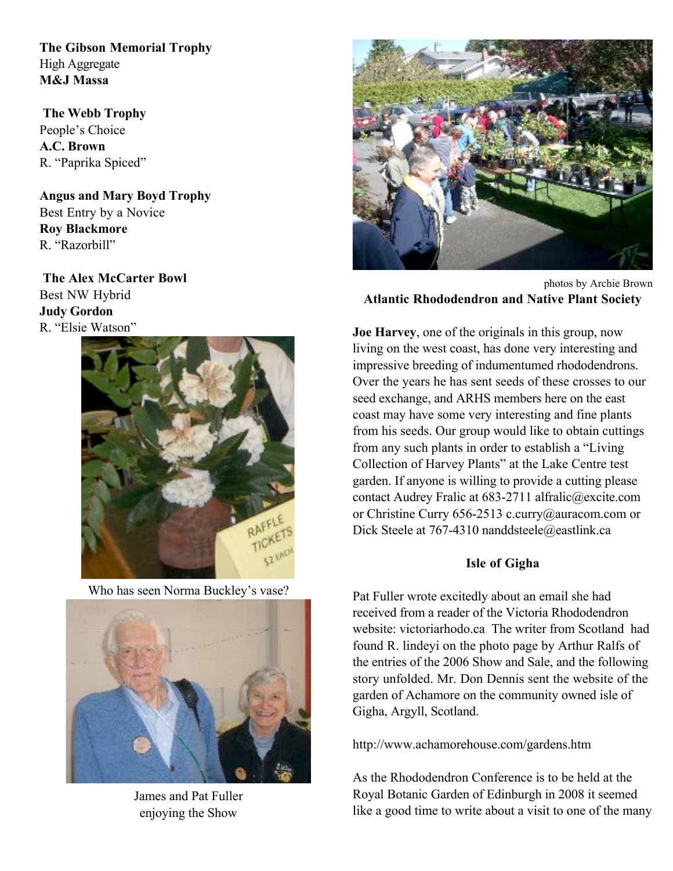**The Gibson Memorial Trophy** High Aggregate **M&J Massa**

**The Webb Trophy** People's Choice **A.C. Brown** R. "Paprika Spiced"

**Angus and Mary Boyd Trophy** Best Entry by a Novice **Roy Blackmore** R. "Razorbill"

**The Alex McCarter Bowl** Best NW Hybrid **Judy Gordon** R. "Elsie Watson"



Who has seen Norma Buckley's vase?



James and Pat Fuller enjoying the Show



photos by Archie Brown **Atlantic Rhododendron and Native Plant Society**

**Joe Harvey**, one of the originals in this group, now living on the west coast, has done very interesting and impressive breeding of indumentumed rhododendrons. Over the years he has sent seeds of these crosses to our seed exchange, and ARHS members here on the east coast may have some very interesting and fine plants from his seeds. Our group would like to obtain cuttings from any such plants in order to establish a "Living Collection of Harvey Plants" at the Lake Centre test garden. If anyone is willing to provide a cutting please contact Audrey Fralic at 683-2711 alfralic@excite.com or Christine Curry 656-2513 c.curry@auracom.com or Dick Steele at 767-4310 nanddsteele@eastlink.ca

### **Isle of Gigha**

Pat Fuller wrote excitedly about an email she had received from a reader of the Victoria Rhododendron website: victoriarhodo.ca The writer from Scotland had found R. lindeyi on the photo page by Arthur Ralfs of the entries of the 2006 Show and Sale, and the following story unfolded. Mr. Don Dennis sent the website of the garden of Achamore on the community owned isle of Gigha, Argyll, Scotland.

http://www.achamorehouse.com/gardens.htm

As the Rhododendron Conference is to be held at the Royal Botanic Garden of Edinburgh in 2008 it seemed like a good time to write about a visit to one of the many